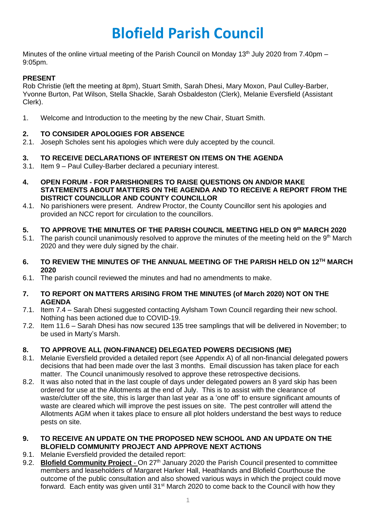# **Blofield Parish Council**

Minutes of the online virtual meeting of the Parish Council on Monday 13<sup>th</sup> July 2020 from 7.40pm – 9:05pm.

# **PRESENT**

Rob Christie (left the meeting at 8pm), Stuart Smith, Sarah Dhesi, Mary Moxon, Paul Culley-Barber, Yvonne Burton, Pat Wilson, Stella Shackle, Sarah Osbaldeston (Clerk), Melanie Eversfield (Assistant Clerk).

1. Welcome and Introduction to the meeting by the new Chair, Stuart Smith.

## **2. TO CONSIDER APOLOGIES FOR ABSENCE**

2.1. Joseph Scholes sent his apologies which were duly accepted by the council.

#### **3. TO RECEIVE DECLARATIONS OF INTEREST ON ITEMS ON THE AGENDA**

- 3.1. Item 9 Paul Culley-Barber declared a pecuniary interest.
- **4. OPEN FORUM - FOR PARISHIONERS TO RAISE QUESTIONS ON AND/OR MAKE STATEMENTS ABOUT MATTERS ON THE AGENDA AND TO RECEIVE A REPORT FROM THE DISTRICT COUNCILLOR AND COUNTY COUNCILLOR**
- 4.1. No parishioners were present. Andrew Proctor, the County Councillor sent his apologies and provided an NCC report for circulation to the councillors.

## **5. TO APPROVE THE MINUTES OF THE PARISH COUNCIL MEETING HELD ON 9 th MARCH 2020**

- 5.1. The parish council unanimously resolved to approve the minutes of the meeting held on the 9<sup>th</sup> March 2020 and they were duly signed by the chair.
- **6. TO REVIEW THE MINUTES OF THE ANNUAL MEETING OF THE PARISH HELD ON 12TH MARCH 2020**
- 6.1. The parish council reviewed the minutes and had no amendments to make.

#### **7. TO REPORT ON MATTERS ARISING FROM THE MINUTES (of March 2020) NOT ON THE AGENDA**

- 7.1. Item 7.4 Sarah Dhesi suggested contacting Aylsham Town Council regarding their new school. Nothing has been actioned due to COVID-19.
- 7.2. Item 11.6 Sarah Dhesi has now secured 135 tree samplings that will be delivered in November; to be used in Marty's Marsh.

## **8. TO APPROVE ALL (NON-FINANCE) DELEGATED POWERS DECISIONS (ME)**

- 8.1. Melanie Eversfield provided a detailed report (see Appendix A) of all non-financial delegated powers decisions that had been made over the last 3 months. Email discussion has taken place for each matter. The Council unanimously resolved to approve these retrospective decisions.
- 8.2. It was also noted that in the last couple of days under delegated powers an 8 yard skip has been ordered for use at the Allotments at the end of July. This is to assist with the clearance of waste/clutter off the site, this is larger than last year as a 'one off' to ensure significant amounts of waste are cleared which will improve the pest issues on site. The pest controller will attend the Allotments AGM when it takes place to ensure all plot holders understand the best ways to reduce pests on site.

## **9. TO RECEIVE AN UPDATE ON THE PROPOSED NEW SCHOOL AND AN UPDATE ON THE BLOFIELD COMMUNITY PROJECT AND APPROVE NEXT ACTIONS**

- 9.1. Melanie Eversfield provided the detailed report:
- 9.2. **Blofield Community Project** On 27<sup>th</sup> January 2020 the Parish Council presented to committee members and leaseholders of Margaret Harker Hall, Heathlands and Blofield Courthouse the outcome of the public consultation and also showed various ways in which the project could move forward. Each entity was given until 31<sup>st</sup> March 2020 to come back to the Council with how they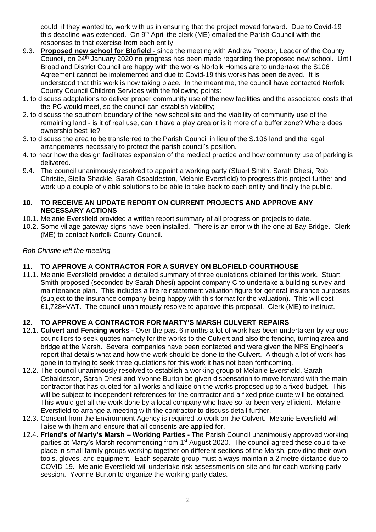could, if they wanted to, work with us in ensuring that the project moved forward. Due to Covid-19 this deadline was extended. On 9<sup>th</sup> April the clerk (ME) emailed the Parish Council with the responses to that exercise from each entity.

- 9.3. **Proposed new school for Blofield** since the meeting with Andrew Proctor, Leader of the County Council, on 24<sup>th</sup> January 2020 no progress has been made regarding the proposed new school. Until Broadland District Council are happy with the works Norfolk Homes are to undertake the S106 Agreement cannot be implemented and due to Covid-19 this works has been delayed. It is understood that this work is now taking place. In the meantime, the council have contacted Norfolk County Council Children Services with the following points:
- 1. to discuss adaptations to deliver proper community use of the new facilities and the associated costs that the PC would meet, so the council can establish viability;
- 2. to discuss the southern boundary of the new school site and the viability of community use of the remaining land - is it of real use, can it have a play area or is it more of a buffer zone? Where does ownership best lie?
- 3. to discuss the area to be transferred to the Parish Council in lieu of the S.106 land and the legal arrangements necessary to protect the parish council's position.
- 4. to hear how the design facilitates expansion of the medical practice and how community use of parking is delivered.
- 9.4. The council unanimously resolved to appoint a working party (Stuart Smith, Sarah Dhesi, Rob Christie, Stella Shackle, Sarah Osbaldeston, Melanie Eversfield) to progress this project further and work up a couple of viable solutions to be able to take back to each entity and finally the public.

#### **10. TO RECEIVE AN UPDATE REPORT ON CURRENT PROJECTS AND APPROVE ANY NECESSARY ACTIONS**

- 10.1. Melanie Eversfield provided a written report summary of all progress on projects to date.
- 10.2. Some village gateway signs have been installed. There is an error with the one at Bay Bridge. Clerk (ME) to contact Norfolk County Council.

## *Rob Christie left the meeting*

# **11. TO APPROVE A CONTRACTOR FOR A SURVEY ON BLOFIELD COURTHOUSE**

11.1. Melanie Eversfield provided a detailed summary of three quotations obtained for this work. Stuart Smith proposed (seconded by Sarah Dhesi) appoint company C to undertake a building survey and maintenance plan. This includes a fire reinstatement valuation figure for general insurance purposes (subject to the insurance company being happy with this format for the valuation). This will cost £1,728+VAT. The council unanimously resolve to approve this proposal. Clerk (ME) to instruct.

## **12. TO APPROVE A CONTRACTOR FOR MARTY'S MARSH CULVERT REPAIRS**

- 12.1. **Culvert and Fencing works -** Over the past 6 months a lot of work has been undertaken by various councillors to seek quotes namely for the works to the Culvert and also the fencing, turning area and bridge at the Marsh. Several companies have been contacted and were given the NPS Engineer's report that details what and how the work should be done to the Culvert. Although a lot of work has gone in to trying to seek three quotations for this work it has not been forthcoming.
- 12.2. The council unanimously resolved to establish a working group of Melanie Eversfield, Sarah Osbaldeston, Sarah Dhesi and Yvonne Burton be given dispensation to move forward with the main contractor that has quoted for all works and liaise on the works proposed up to a fixed budget. This will be subject to independent references for the contractor and a fixed price quote will be obtained. This would get all the work done by a local company who have so far been very efficient. Melanie Eversfield to arrange a meeting with the contractor to discuss detail further.
- 12.3. Consent from the Environment Agency is required to work on the Culvert. Melanie Eversfield will liaise with them and ensure that all consents are applied for.
- 12.4. **Friend's of Marty's Marsh – Working Parties -** The Parish Council unanimously approved working parties at Marty's Marsh recommencing from 1<sup>st</sup> August 2020. The council agreed these could take place in small family groups working together on different sections of the Marsh, providing their own tools, gloves, and equipment. Each separate group must always maintain a 2 metre distance due to COVID-19. Melanie Eversfield will undertake risk assessments on site and for each working party session. Yvonne Burton to organize the working party dates.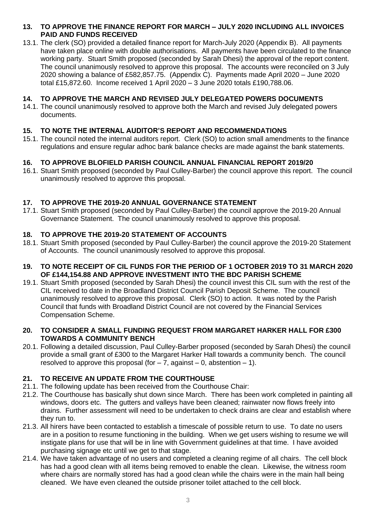#### **13. TO APPROVE THE FINANCE REPORT FOR MARCH – JULY 2020 INCLUDING ALL INVOICES PAID AND FUNDS RECEIVED**

13.1. The clerk (SO) provided a detailed finance report for March-July 2020 (Appendix B). All payments have taken place online with double authorisations. All payments have been circulated to the finance working party. Stuart Smith proposed (seconded by Sarah Dhesi) the approval of the report content. The council unanimously resolved to approve this proposal. The accounts were reconciled on 3 July 2020 showing a balance of £582,857.75. (Appendix C). Payments made April 2020 – June 2020 total £15,872.60. Income received 1 April 2020 – 3 June 2020 totals £190,788.06.

#### **14. TO APPROVE THE MARCH AND REVISED JULY DELEGATED POWERS DOCUMENTS**

14.1. The council unanimously resolved to approve both the March and revised July delegated powers documents.

#### **15. TO NOTE THE INTERNAL AUDITOR'S REPORT AND RECOMMENDATIONS**

15.1. The council noted the internal auditors report. Clerk (SO) to action small amendments to the finance regulations and ensure regular adhoc bank balance checks are made against the bank statements.

#### **16. TO APPROVE BLOFIELD PARISH COUNCIL ANNUAL FINANCIAL REPORT 2019/20**

16.1. Stuart Smith proposed (seconded by Paul Culley-Barber) the council approve this report. The council unanimously resolved to approve this proposal.

#### **17. TO APPROVE THE 2019-20 ANNUAL GOVERNANCE STATEMENT**

17.1. Stuart Smith proposed (seconded by Paul Culley-Barber) the council approve the 2019-20 Annual Governance Statement. The council unanimously resolved to approve this proposal.

#### **18. TO APPROVE THE 2019-20 STATEMENT OF ACCOUNTS**

18.1. Stuart Smith proposed (seconded by Paul Culley-Barber) the council approve the 2019-20 Statement of Accounts. The council unanimously resolved to approve this proposal.

#### **19. TO NOTE RECEIPT OF CIL FUNDS FOR THE PERIOD OF 1 OCTOBER 2019 TO 31 MARCH 2020 OF £144,154.88 AND APPROVE INVESTMENT INTO THE BDC PARISH SCHEME**

19.1. Stuart Smith proposed (seconded by Sarah Dhesi) the council invest this CIL sum with the rest of the CIL received to date in the Broadland District Council Parish Deposit Scheme. The council unanimously resolved to approve this proposal. Clerk (SO) to action. It was noted by the Parish Council that funds with Broadland District Council are not covered by the Financial Services Compensation Scheme.

#### **20. TO CONSIDER A SMALL FUNDING REQUEST FROM MARGARET HARKER HALL FOR £300 TOWARDS A COMMUNITY BENCH**

20.1. Following a detailed discussion, Paul Culley-Barber proposed (seconded by Sarah Dhesi) the council provide a small grant of £300 to the Margaret Harker Hall towards a community bench. The council resolved to approve this proposal (for  $-7$ , against  $-0$ , abstention  $-1$ ).

## **21. TO RECEIVE AN UPDATE FROM THE COURTHOUSE**

- 21.1. The following update has been received from the Courthouse Chair:
- 21.2. The Courthouse has basically shut down since March. There has been work completed in painting all windows, doors etc. The gutters and valleys have been cleaned; rainwater now flows freely into drains. Further assessment will need to be undertaken to check drains are clear and establish where they run to.
- 21.3. All hirers have been contacted to establish a timescale of possible return to use. To date no users are in a position to resume functioning in the building. When we get users wishing to resume we will instigate plans for use that will be in line with Government guidelines at that time. I have avoided purchasing signage etc until we get to that stage.
- 21.4. We have taken advantage of no users and completed a cleaning regime of all chairs. The cell block has had a good clean with all items being removed to enable the clean. Likewise, the witness room where chairs are normally stored has had a good clean while the chairs were in the main hall being cleaned. We have even cleaned the outside prisoner toilet attached to the cell block.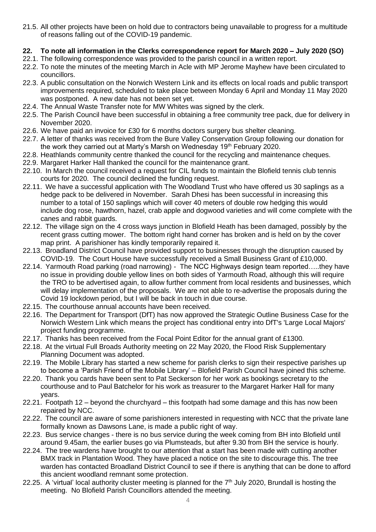21.5. All other projects have been on hold due to contractors being unavailable to progress for a multitude of reasons falling out of the COVID-19 pandemic.

# **22. To note all information in the Clerks correspondence report for March 2020 – July 2020 (SO)**

- 22.1. The following correspondence was provided to the parish council in a written report.
- 22.2. To note the minutes of the meeting March in Acle with MP Jerome Mayhew have been circulated to councillors.
- 22.3. A public consultation on the Norwich Western Link and its effects on local roads and public transport improvements required, scheduled to take place between Monday 6 April and Monday 11 May 2020 was postponed. A new date has not been set yet.
- 22.4. The Annual Waste Transfer note for MW Whites was signed by the clerk.
- 22.5. The Parish Council have been successful in obtaining a free community tree pack, due for delivery in November 2020.
- 22.6. We have paid an invoice for £30 for 6 months doctors surgery bus shelter cleaning.
- 22.7. A letter of thanks was received from the Bure Valley Conservation Group following our donation for the work they carried out at Marty's Marsh on Wednesday 19<sup>th</sup> February 2020.
- 22.8. Heathlands community centre thanked the council for the recycling and maintenance cheques.
- 22.9. Margaret Harker Hall thanked the council for the maintenance grant.
- 22.10. In March the council received a request for CIL funds to maintain the Blofield tennis club tennis courts for 2020. The council declined the funding request.
- 22.11. We have a successful application with The Woodland Trust who have offered us 30 saplings as a hedge pack to be delivered in November. Sarah Dhesi has been successful in increasing this number to a total of 150 saplings which will cover 40 meters of double row hedging this would include dog rose, hawthorn, hazel, crab apple and dogwood varieties and will come complete with the canes and rabbit guards.
- 22.12. The village sign on the 4 cross ways junction in Blofield Heath has been damaged, possibly by the recent grass cutting mower. The bottom right hand corner has broken and is held on by the cover map print. A parishioner has kindly temporarily repaired it.
- 22.13. Broadland District Council have provided support to businesses through the disruption caused by COVID-19. The Court House have successfully received a Small Business Grant of £10,000.
- 22.14. Yarmouth Road parking (road narrowing) The NCC Highways design team reported…..they have no issue in providing double yellow lines on both sides of Yarmouth Road, although this will require the TRO to be advertised again, to allow further comment from local residents and businesses, which will delay implementation of the proposals. We are not able to re-advertise the proposals during the Covid 19 lockdown period, but I will be back in touch in due course.
- 22.15. The courthouse annual accounts have been received.
- 22.16. The Department for Transport (DfT) has now approved the Strategic Outline Business Case for the Norwich Western Link which means the project has conditional entry into DfT's 'Large Local Majors' project funding programme.
- 22.17. Thanks has been received from the Focal Point Editor for the annual grant of £1300.
- 22.18. At the virtual Full Broads Authority meeting on 22 May 2020, the Flood Risk Supplementary Planning Document was adopted.
- 22.19. The Mobile Library has started a new scheme for parish clerks to sign their respective parishes up to become a 'Parish Friend of the Mobile Library' – Blofield Parish Council have joined this scheme.
- 22.20. Thank you cards have been sent to Pat Seckerson for her work as bookings secretary to the courthouse and to Paul Batchelor for his work as treasurer to the Margaret Harker Hall for many years.
- 22.21. Footpath 12 beyond the churchyard this footpath had some damage and this has now been repaired by NCC.
- 22.22. The council are aware of some parishioners interested in requesting with NCC that the private lane formally known as Dawsons Lane, is made a public right of way.
- 22.23. Bus service changes there is no bus service during the week coming from BH into Blofield until around 9.45am, the earlier buses go via Plumsteads, but after 9.30 from BH the service is hourly.
- 22.24. The tree wardens have brought to our attention that a start has been made with cutting another BMX track in Plantation Wood. They have placed a notice on the site to discourage this. The tree warden has contacted Broadland District Council to see if there is anything that can be done to afford this ancient woodland remnant some protection.
- 22.25. A 'virtual' local authority cluster meeting is planned for the 7<sup>th</sup> July 2020, Brundall is hosting the meeting. No Blofield Parish Councillors attended the meeting.